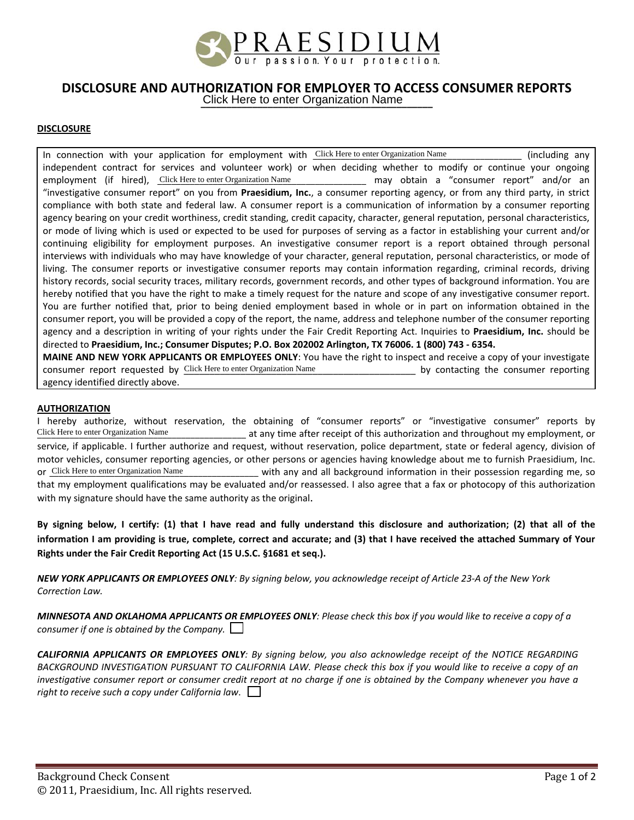

## **DISCLOSURE AND AUTHORIZATION FOR EMPLOYER TO ACCESS CONSUMER REPORTS**

**\_\_\_\_\_\_\_\_\_\_\_\_\_\_\_\_\_\_\_\_\_\_\_\_\_\_\_\_\_\_\_\_\_\_\_\_\_\_\_\_\_\_\_\_\_** Click Here to enter Organization Name

## **DISCLOSURE**

In connection with your application for employment with Click Here to enter Organization Name \_\_\_\_\_\_\_\_\_\_\_\_\_\_\_\_\_ (including any independent contract for services and volunteer work) or when deciding whether to modify or continue your ongoing employment (if hired), Click Here to enter Organization Name \_\_\_\_\_\_\_\_\_\_\_\_\_\_\_\_ may obtain a "consumer report" and/or an "investigative consumer report" on you from **Praesidium, Inc.**, a consumer reporting agency, or from any third party, in strict compliance with both state and federal law. A consumer report is a communication of information by a consumer reporting agency bearing on your credit worthiness, credit standing, credit capacity, character, general reputation, personal characteristics, or mode of living which is used or expected to be used for purposes of serving as a factor in establishing your current and/or continuing eligibility for employment purposes. An investigative consumer report is a report obtained through personal interviews with individuals who may have knowledge of your character, general reputation, personal characteristics, or mode of living. The consumer reports or investigative consumer reports may contain information regarding, criminal records, driving history records, social security traces, military records, government records, and other types of background information. You are hereby notified that you have the right to make a timely request for the nature and scope of any investigative consumer report. You are further notified that, prior to being denied employment based in whole or in part on information obtained in the consumer report, you will be provided a copy of the report, the name, address and telephone number of the consumer reporting agency and a description in writing of your rights under the Fair Credit Reporting Act. Inquiries to **Praesidium, Inc.** should be directed to **Praesidium, Inc.; Consumer Disputes; P.O. Box 202002 Arlington, TX 76006. 1 (800) 743 ‐ 6354.**

**MAINE AND NEW YORK APPLICANTS OR EMPLOYEES ONLY**: You have the right to inspect and receive a copy of your investigate consumer report requested by Click Here to enter Organization Name **Source 10 and 10 and 10 and 10 and 10 and 10** by contacting the consumer reporting agency identified directly above.

## **AUTHORIZATION**

I hereby authorize, without reservation, the obtaining of "consumer reports" or "investigative consumer" reports by \_\_\_\_\_\_\_\_\_\_\_\_\_\_\_\_\_\_\_\_\_\_\_\_\_\_\_\_\_\_\_\_\_\_\_\_\_\_\_\_\_\_\_\_\_ at any time after receipt of this authorization and throughout my employment, or service, if applicable. I further authorize and request, without reservation, police department, state or federal agency, division of motor vehicles, consumer reporting agencies, or other persons or agencies having knowledge about me to furnish Praesidium, Inc. with any and all background information in their possession regarding me, so that my employment qualifications may be evaluated and/or reassessed. I also agree that a fax or photocopy of this authorization with my signature should have the same authority as the original. Click Here to enter Organization Name Or Click Here to enter Organization Name

By signing below, I certify: (1) that I have read and fully understand this disclosure and authorization; (2) that all of the information I am providing is true, complete, correct and accurate; and (3) that I have received the attached Summary of Your **Rights under the Fair Credit Reporting Act (15 U.S.C. §1681 et seq.).**

NEW YORK APPLICANTS OR EMPLOYEES ONLY: By signing below, you acknowledge receipt of Article 23-A of the New York *Correction Law.* 

MINNESOTA AND OKLAHOMA APPLICANTS OR EMPLOYEES ONLY: Please check this box if you would like to receive a copy of a *consumer if one is obtained by the Company.* 

CALIFORNIA APPLICANTS OR EMPLOYEES ONLY: By signing below, you also acknowledge receipt of the NOTICE REGARDING BACKGROUND INVESTIGATION PURSUANT TO CALIFORNIA LAW. Please check this box if you would like to receive a copy of an investigative consumer report or consumer credit report at no charge if one is obtained by the Company whenever you have a *right to receive such a copy under California law*.